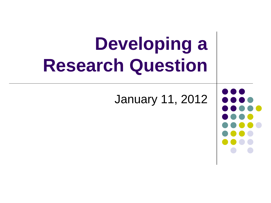# **Developing a Research Question**

January 11, 2012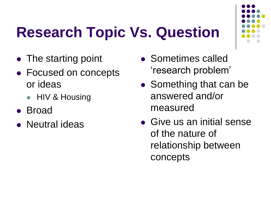### **Research Topic Vs. Question**



- The starting point
- Focused on concepts or ideas
	- HIV & Housing
- Broad
- Neutral ideas
- Sometimes called 'research problem'
- Something that can be answered and/or measured
- Give us an initial sense of the nature of relationship between concepts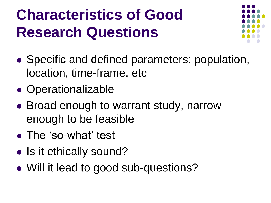#### **Characteristics of Good Research Questions**



- Specific and defined parameters: population, location, time-frame, etc
- Operationalizable
- Broad enough to warrant study, narrow enough to be feasible
- The 'so-what' test
- Is it ethically sound?
- Will it lead to good sub-questions?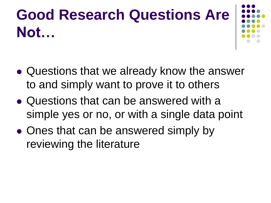### **Good Research Questions Are Not…**



- Questions that we already know the answer to and simply want to prove it to others
- Questions that can be answered with a simple yes or no, or with a single data point
- Ones that can be answered simply by reviewing the literature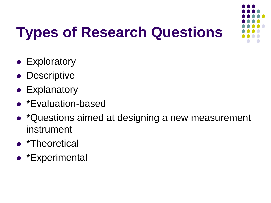

## **Types of Research Questions**

- Exploratory
- Descriptive
- Explanatory
- \*Evaluation-based
- \*Questions aimed at designing a new measurement instrument
- \*Theoretical
- \*Experimental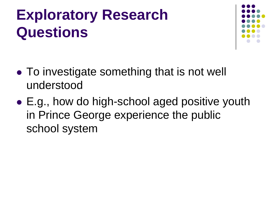### **Exploratory Research Questions**



- To investigate something that is not well understood
- E.g., how do high-school aged positive youth in Prince George experience the public school system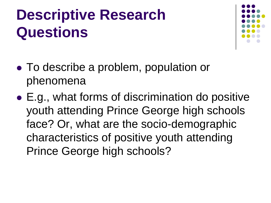#### **Descriptive Research Questions**



- To describe a problem, population or phenomena
- E.g., what forms of discrimination do positive youth attending Prince George high schools face? Or, what are the socio-demographic characteristics of positive youth attending Prince George high schools?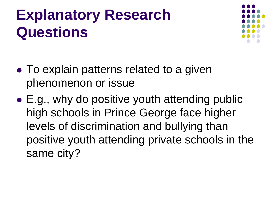### **Explanatory Research Questions**



- To explain patterns related to a given phenomenon or issue
- E.g., why do positive youth attending public high schools in Prince George face higher levels of discrimination and bullying than positive youth attending private schools in the same city?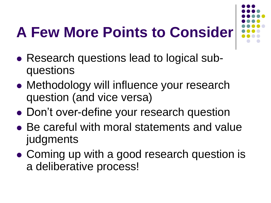#### **A Few More Points to Consider**

- 
- Research questions lead to logical subquestions
- Methodology will influence your research question (and vice versa)
- Don't over-define your research question
- Be careful with moral statements and value judgments
- Coming up with a good research question is a deliberative process!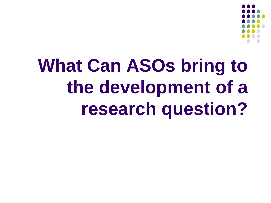

# **What Can ASOs bring to the development of a research question?**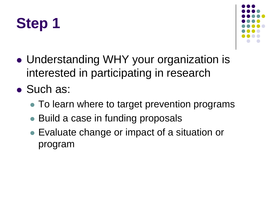



- Understanding WHY your organization is interested in participating in research
- Such as:
	- To learn where to target prevention programs
	- Build a case in funding proposals
	- Evaluate change or impact of a situation or program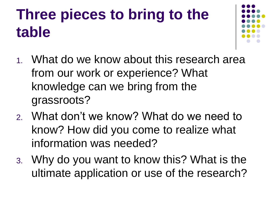### **Three pieces to bring to the table**



- 1. What do we know about this research area from our work or experience? What knowledge can we bring from the grassroots?
- 2. What don't we know? What do we need to know? How did you come to realize what information was needed?
- 3. Why do you want to know this? What is the ultimate application or use of the research?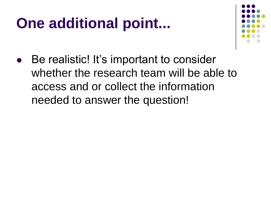#### **One additional point...**



 Be realistic! It's important to consider whether the research team will be able to access and or collect the information needed to answer the question!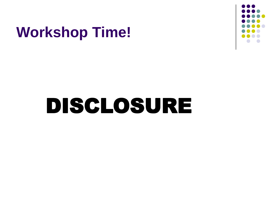#### **Workshop Time!**



# DISCLOSURE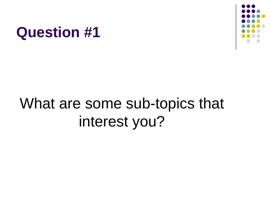#### **Question #1**



### What are some sub-topics that interest you?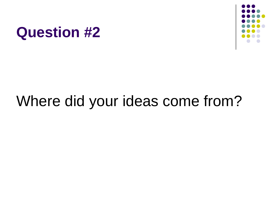



#### Where did your ideas come from?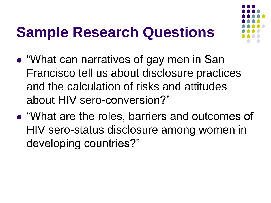#### **Sample Research Questions**



- "What can narratives of gay men in San Francisco tell us about disclosure practices and the calculation of risks and attitudes about HIV sero-conversion?"
- "What are the roles, barriers and outcomes of HIV sero-status disclosure among women in developing countries?"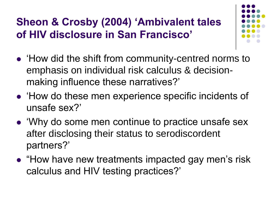#### **Sheon & Crosby (2004) 'Ambivalent tales of HIV disclosure in San Francisco'**



- How did the shift from community-centred norms to emphasis on individual risk calculus & decisionmaking influence these narratives?'
- 'How do these men experience specific incidents of unsafe sex?'
- 'Why do some men continue to practice unsafe sex after disclosing their status to serodiscordent partners?'
- "How have new treatments impacted gay men's risk calculus and HIV testing practices?'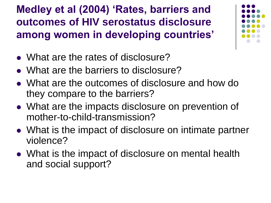**Medley et al (2004) 'Rates, barriers and outcomes of HIV serostatus disclosure among women in developing countries'**

- What are the rates of disclosure?
- What are the barriers to disclosure?
- What are the outcomes of disclosure and how do they compare to the barriers?
- What are the impacts disclosure on prevention of mother-to-child-transmission?
- What is the impact of disclosure on intimate partner violence?
- What is the impact of disclosure on mental health and social support?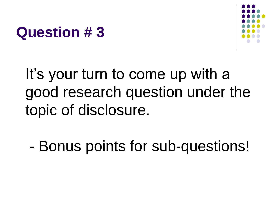#### **Question # 3**



It's your turn to come up with a good research question under the topic of disclosure.

- Bonus points for sub-questions!